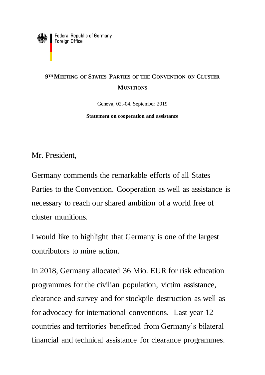

## **9 TH MEETING OF STATES PARTIES OF THE CONVENTION ON CLUSTER MUNITIONS**

Geneva, 02.-04. September 2019

**Statement on cooperation and assistance**

Mr. President,

Germany commends the remarkable efforts of all States Parties to the Convention. Cooperation as well as assistance is necessary to reach our shared ambition of a world free of cluster munitions.

I would like to highlight that Germany is one of the largest contributors to mine action.

In 2018, Germany allocated 36 Mio. EUR for risk education programmes for the civilian population, victim assistance, clearance and survey and for stockpile destruction as well as for advocacy for international conventions. Last year 12 countries and territories benefitted from Germany's bilateral financial and technical assistance for clearance programmes.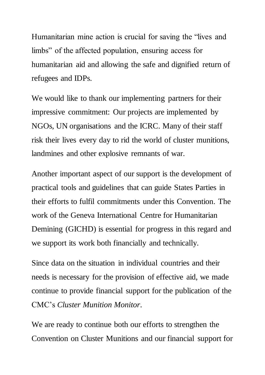Humanitarian mine action is crucial for saving the "lives and limbs" of the affected population, ensuring access for humanitarian aid and allowing the safe and dignified return of refugees and IDPs.

We would like to thank our implementing partners for their impressive commitment: Our projects are implemented by NGOs, UN organisations and the ICRC. Many of their staff risk their lives every day to rid the world of cluster munitions, landmines and other explosive remnants of war.

Another important aspect of our support is the development of practical tools and guidelines that can guide States Parties in their efforts to fulfil commitments under this Convention. The work of the Geneva International Centre for Humanitarian Demining (GICHD) is essential for progress in this regard and we support its work both financially and technically.

Since data on the situation in individual countries and their needs is necessary for the provision of effective aid, we made continue to provide financial support for the publication of the CMC's *Cluster Munition Monitor.*

We are ready to continue both our efforts to strengthen the Convention on Cluster Munitions and our financial support for